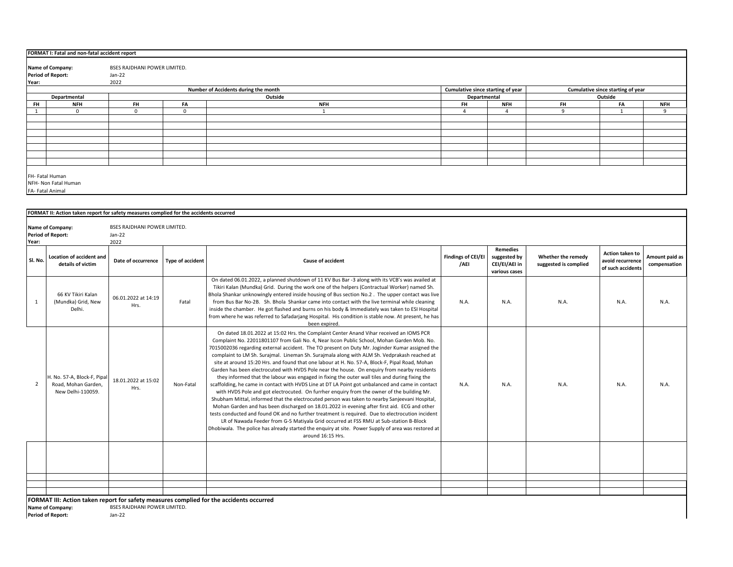|               | FORMAT I: Fatal and non-fatal accident report              |                              |    |                                      |                                   |            |           |                                   |            |  |  |  |
|---------------|------------------------------------------------------------|------------------------------|----|--------------------------------------|-----------------------------------|------------|-----------|-----------------------------------|------------|--|--|--|
|               | <b>Name of Company:</b>                                    | BSES RAJDHANI POWER LIMITED. |    |                                      |                                   |            |           |                                   |            |  |  |  |
|               | <b>Period of Report:</b>                                   | Jan-22                       |    |                                      |                                   |            |           |                                   |            |  |  |  |
| 2022<br>Year: |                                                            |                              |    |                                      |                                   |            |           |                                   |            |  |  |  |
|               |                                                            |                              |    | Number of Accidents during the month | Cumulative since starting of year |            |           | Cumulative since starting of year |            |  |  |  |
|               | Departmental                                               |                              |    | Outside                              | Outside<br>Departmental           |            |           |                                   |            |  |  |  |
| <b>FH</b>     | <b>NFH</b>                                                 | <b>FH</b>                    | FA | <b>NFH</b>                           | <b>FH</b>                         | <b>NFH</b> | <b>FH</b> | FA                                | <b>NFH</b> |  |  |  |
|               |                                                            | $\Omega$                     |    |                                      |                                   |            |           |                                   | $\Omega$   |  |  |  |
|               |                                                            |                              |    |                                      |                                   |            |           |                                   |            |  |  |  |
|               |                                                            |                              |    |                                      |                                   |            |           |                                   |            |  |  |  |
|               |                                                            |                              |    |                                      |                                   |            |           |                                   |            |  |  |  |
|               |                                                            |                              |    |                                      |                                   |            |           |                                   |            |  |  |  |
|               |                                                            |                              |    |                                      |                                   |            |           |                                   |            |  |  |  |
|               |                                                            |                              |    |                                      |                                   |            |           |                                   |            |  |  |  |
|               |                                                            |                              |    |                                      |                                   |            |           |                                   |            |  |  |  |
|               | FH- Fatal Human<br>NFH- Non Fatal Human<br>FA-Fatal Animal |                              |    |                                      |                                   |            |           |                                   |            |  |  |  |

|                | FORMAT II: Action taken report for safety measures complied for the accidents occurred                                                                                                   |                              |                         |                                                                                                                                                                                                                                                                                                                                                                                                                                                                                                                                                                                                                                                                                                                                                                                                                                                                                                                                                                                                                                                                                                                                                                                                                                                                                                                                                                                                                          |                                   |                                                                   |                                             |                                                          |                                |  |  |  |
|----------------|------------------------------------------------------------------------------------------------------------------------------------------------------------------------------------------|------------------------------|-------------------------|--------------------------------------------------------------------------------------------------------------------------------------------------------------------------------------------------------------------------------------------------------------------------------------------------------------------------------------------------------------------------------------------------------------------------------------------------------------------------------------------------------------------------------------------------------------------------------------------------------------------------------------------------------------------------------------------------------------------------------------------------------------------------------------------------------------------------------------------------------------------------------------------------------------------------------------------------------------------------------------------------------------------------------------------------------------------------------------------------------------------------------------------------------------------------------------------------------------------------------------------------------------------------------------------------------------------------------------------------------------------------------------------------------------------------|-----------------------------------|-------------------------------------------------------------------|---------------------------------------------|----------------------------------------------------------|--------------------------------|--|--|--|
|                | Name of Company:                                                                                                                                                                         | BSES RAJDHANI POWER LIMITED. |                         |                                                                                                                                                                                                                                                                                                                                                                                                                                                                                                                                                                                                                                                                                                                                                                                                                                                                                                                                                                                                                                                                                                                                                                                                                                                                                                                                                                                                                          |                                   |                                                                   |                                             |                                                          |                                |  |  |  |
| Year:          | <b>Period of Report:</b>                                                                                                                                                                 | $Jan-22$<br>2022             |                         |                                                                                                                                                                                                                                                                                                                                                                                                                                                                                                                                                                                                                                                                                                                                                                                                                                                                                                                                                                                                                                                                                                                                                                                                                                                                                                                                                                                                                          |                                   |                                                                   |                                             |                                                          |                                |  |  |  |
| Sl. No.        | Location of accident and<br>details of victim                                                                                                                                            | Date of occurrence           | <b>Type of accident</b> | Cause of accident                                                                                                                                                                                                                                                                                                                                                                                                                                                                                                                                                                                                                                                                                                                                                                                                                                                                                                                                                                                                                                                                                                                                                                                                                                                                                                                                                                                                        | <b>Findings of CEI/EI</b><br>/AEI | <b>Remedies</b><br>suggested by<br>CEI/EI/AEI in<br>various cases | Whether the remedy<br>suggested is complied | Action taken to<br>avoid recurrence<br>of such accidents | Amount paid as<br>compensation |  |  |  |
| 1              | 66 KV Tikiri Kalan<br>(Mundka) Grid, New<br>Delhi.                                                                                                                                       | 06.01.2022 at 14:19<br>Hrs.  | Fatal                   | On dated 06.01.2022, a planned shutdown of 11 KV Bus Bar -3 along with its VCB's was availed at<br>Tikiri Kalan (Mundka) Grid. During the work one of the helpers (Contractual Worker) named Sh.<br>Bhola Shankar unknowingly entered inside housing of Bus section No.2. The upper contact was live<br>from Bus Bar No-2B. Sh. Bhola Shankar came into contact with the live terminal while cleaning<br>inside the chamber. He got flashed and burns on his body & Immediately was taken to ESI Hospital<br>from where he was referred to Safadarjang Hospital. His condition is stable now. At present, he has<br>been expired.                                                                                                                                                                                                                                                                                                                                                                                                                                                                                                                                                                                                                                                                                                                                                                                        | N.A.                              | N.A.                                                              | N.A.                                        | N.A.                                                     | N.A.                           |  |  |  |
| $\overline{2}$ | H. No. 57-A, Block-F, Pipal<br>Road, Mohan Garden.<br>New Delhi-110059.                                                                                                                  | 18.01.2022 at 15:02<br>Hrs.  | Non-Fatal               | On dated 18.01.2022 at 15:02 Hrs. the Complaint Center Anand Vihar received an IOMS PCR<br>Complaint No. 22011801107 from Gali No. 4, Near Iscon Public School, Mohan Garden Mob. No.<br>7015002036 regarding external accident. The TO present on Duty Mr. Joginder Kumar assigned the<br>complaint to LM Sh. Surajmal. Lineman Sh. Surajmala along with ALM Sh. Vedprakash reached at<br>site at around 15:20 Hrs. and found that one labour at H. No. 57-A, Block-F, Pipal Road, Mohan<br>Garden has been electrocuted with HVDS Pole near the house. On enguiry from nearby residents<br>they informed that the labour was engaged in fixing the outer wall tiles and during fixing the<br>scaffolding, he came in contact with HVDS Line at DT LA Point got unbalanced and came in contact<br>with HVDS Pole and got electrocuted. On furrher enquiry from the owner of the building Mr.<br>Shubham Mittal, informed that the electrocuted person was taken to nearby Sanjeevani Hospital,<br>Mohan Garden and has been discharged on 18.01.2022 in evening after first aid. ECG and other<br>tests conducted and found OK and no further treatment is required. Due to electrocution incident<br>LR of Nawada Feeder from G-5 Matiyala Grid occurred at FSS RMU at Sub-station B-Block<br>Dhobiwala. The police has already started the enquiry at site. Power Supply of area was restored at<br>around 16:15 Hrs. | N.A.                              | N.A.                                                              | N.A.                                        | N.A.                                                     | N.A.                           |  |  |  |
|                |                                                                                                                                                                                          |                              |                         |                                                                                                                                                                                                                                                                                                                                                                                                                                                                                                                                                                                                                                                                                                                                                                                                                                                                                                                                                                                                                                                                                                                                                                                                                                                                                                                                                                                                                          |                                   |                                                                   |                                             |                                                          |                                |  |  |  |
|                | FORMAT III: Action taken report for safety measures complied for the accidents occurred<br><b>BSES RAJDHANI POWER LIMITED.</b><br>Name of Company:<br><b>Period of Report:</b><br>Jan-22 |                              |                         |                                                                                                                                                                                                                                                                                                                                                                                                                                                                                                                                                                                                                                                                                                                                                                                                                                                                                                                                                                                                                                                                                                                                                                                                                                                                                                                                                                                                                          |                                   |                                                                   |                                             |                                                          |                                |  |  |  |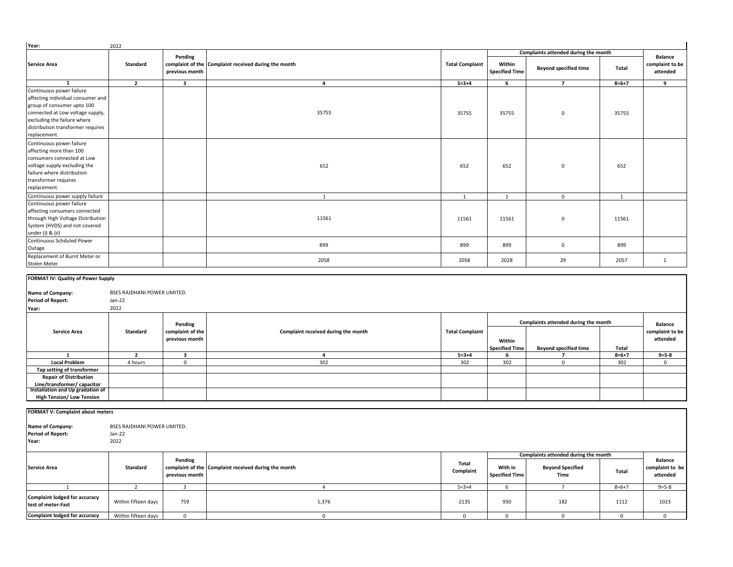| Year:                                                                                                                                                                                                               | 2022                                             |                                    |                                                      |                        |                                  |                                      |             |                                               |
|---------------------------------------------------------------------------------------------------------------------------------------------------------------------------------------------------------------------|--------------------------------------------------|------------------------------------|------------------------------------------------------|------------------------|----------------------------------|--------------------------------------|-------------|-----------------------------------------------|
|                                                                                                                                                                                                                     |                                                  |                                    |                                                      |                        |                                  | Complaints attended during the month |             |                                               |
| <b>Service Area</b>                                                                                                                                                                                                 | Standard                                         | Pending<br>previous month          | complaint of the Complaint received during the month | <b>Total Complaint</b> | Within<br><b>Specified Time</b>  | <b>Beyond specified time</b>         | Total       | <b>Balance</b><br>complaint to be<br>attended |
| 1                                                                                                                                                                                                                   | $\overline{2}$                                   | 3                                  | $\overline{\mathbf{4}}$                              | $5 = 3 + 4$            | 6                                | $\overline{7}$                       | $8 = 6 + 7$ | 9                                             |
| Continuous power failure<br>affecting individual consumer and<br>group of consumer upto 100<br>connected at Low voltage supply,<br>excluding the failure where<br>distribution transformer requires<br>replacement. |                                                  |                                    | 35755                                                | 35755                  | 35755                            | $\mathbf 0$                          | 35755       |                                               |
| Continuous power failure<br>affecting more than 100<br>consumers connected at Low<br>voltage supply excluding the<br>failure where distribution<br>transformer requires<br>replacement.                             |                                                  |                                    | 652                                                  | 652                    | 652                              | $\mathbf 0$                          | 652         |                                               |
| Continuous power supply failure                                                                                                                                                                                     |                                                  |                                    | 1                                                    | $\mathbf{1}$           | 1                                | $\mathbf 0$                          | 1           |                                               |
| Continuous power failure<br>affecting consumers connected<br>through High Voltage Distribution<br>System (HVDS) and not covered<br>under (i) & (ii)                                                                 |                                                  |                                    | 11561                                                | 11561                  | 11561                            | $\mathbf 0$                          | 11561       |                                               |
| Continuous Schduled Power<br>Outage                                                                                                                                                                                 |                                                  |                                    | 899                                                  | 899                    | 899                              | $\mathbf 0$                          | 899         |                                               |
| Replacement of Burnt Meter or<br>Stolen Meter                                                                                                                                                                       |                                                  |                                    | 2058                                                 | 2058                   | 2028                             | 29                                   | 2057        | $\,$ 1 $\,$                                   |
| Name of Company:<br><b>Period of Report:</b><br>Year:                                                                                                                                                               | BSES RAJDHANI POWER LIMITED.<br>Jan-22<br>2022   |                                    |                                                      |                        |                                  |                                      |             |                                               |
|                                                                                                                                                                                                                     |                                                  | Pending                            |                                                      |                        |                                  | Complaints attended during the month |             | <b>Balance</b>                                |
| <b>Service Area</b>                                                                                                                                                                                                 | Standard                                         | complaint of the<br>previous month | Complaint received during the month                  | <b>Total Complaint</b> | Within<br><b>Specified Time</b>  | <b>Beyond specified time</b>         | Total       | complaint to be<br>attended                   |
| $\mathbf{1}$                                                                                                                                                                                                        | $\overline{2}$                                   | 3                                  | 4                                                    | $5 = 3 + 4$            | 6                                | $\overline{\phantom{a}}$             | $8 = 6 + 7$ | $9 = 5 - 8$                                   |
| <b>Local Problem</b>                                                                                                                                                                                                | 4 hours                                          | $\mathsf 0$                        | 302                                                  | 302                    | 302                              | $\mathbf 0$                          | 302         | $\mathbf 0$                                   |
| Tap setting of transformer<br><b>Repair of Distribution</b><br>Line/transformer/ capacitor<br>Installation and Up gradation of                                                                                      |                                                  |                                    |                                                      |                        |                                  |                                      |             |                                               |
| <b>High Tension/ Low Tension</b>                                                                                                                                                                                    |                                                  |                                    |                                                      |                        |                                  |                                      |             |                                               |
| FORMAT V: Complaint about meters                                                                                                                                                                                    |                                                  |                                    |                                                      |                        |                                  |                                      |             |                                               |
| Name of Company:<br><b>Period of Report:</b><br>Year:                                                                                                                                                               | BSES RAJDHANI POWER LIMITED.<br>$Jan-22$<br>2022 |                                    |                                                      |                        |                                  |                                      |             |                                               |
|                                                                                                                                                                                                                     |                                                  |                                    |                                                      |                        |                                  | Complaints attended during the month |             |                                               |
| <b>Service Area</b>                                                                                                                                                                                                 | Standard                                         | Pending<br>previous month          | complaint of the Complaint received during the month | Total<br>Complaint     | With in<br><b>Specified Time</b> | <b>Beyond Specified</b><br>Time      | Total       | <b>Balance</b><br>complaint to be<br>attended |
| 1                                                                                                                                                                                                                   | $\overline{2}$                                   | 3                                  | $\overline{4}$                                       | $5 = 3 + 4$            | 6                                | $\overline{7}$                       | $8=6+7$     | $9 = 5 - 8$                                   |
| <b>Complaint lodged for accuracy</b><br>test of meter-Fast                                                                                                                                                          | Within fifteen days                              | 759                                | 1,376                                                | 2135                   | 930                              | 182                                  | 1112        | 1023                                          |
| <b>Complaint lodged for accuracy</b>                                                                                                                                                                                | Within fifteen days                              | $\mathsf 0$                        | $\mathbf 0$                                          | $\mathbf 0$            | $\mathsf 0$                      | $\mathsf 0$                          | $\mathbf 0$ | $\mathsf 0$                                   |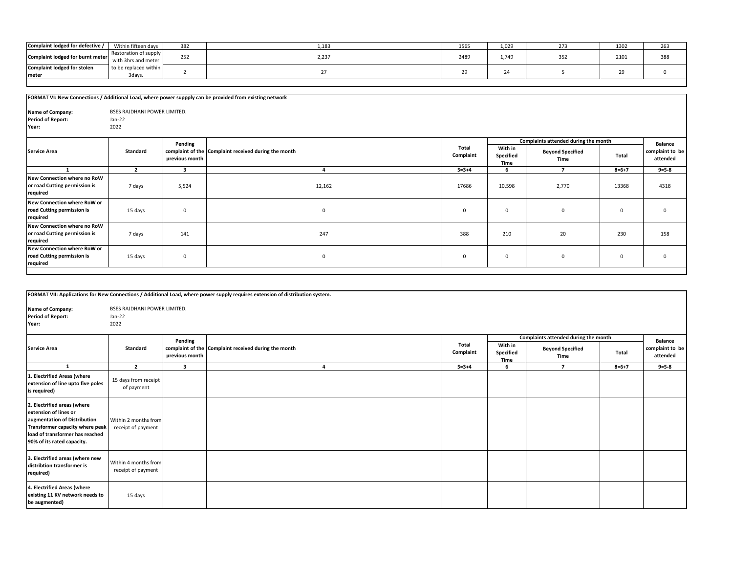| Complaint lodged for defective /            | Within fifteen days                          | 382                | .183  | 1565 | 1.029 | $\sim$ | 1302     | 263 |
|---------------------------------------------|----------------------------------------------|--------------------|-------|------|-------|--------|----------|-----|
| Complaint lodged for burnt meter            | Restoration of supply<br>with 3hrs and meter | $\sim$ $ -$<br>ےرے | 2,237 | 2489 | 1,749 |        | 2101     | 388 |
| <b>Complaint lodged for stolen</b><br>meter | to be replaced within<br>3days.              |                    |       | -    |       |        | 20<br>25 |     |
|                                             |                                              |                    |       |      |       |        |          |     |

| FORMAT VI: New Connections / Additional Load, where power suppply can be provided from existing network |                                     |                         |                                                      |              |                              |                                      |             |                             |  |  |
|---------------------------------------------------------------------------------------------------------|-------------------------------------|-------------------------|------------------------------------------------------|--------------|------------------------------|--------------------------------------|-------------|-----------------------------|--|--|
|                                                                                                         |                                     |                         |                                                      |              |                              |                                      |             |                             |  |  |
| Name of Company:                                                                                        | <b>BSES RAJDHANI POWER LIMITED.</b> |                         |                                                      |              |                              |                                      |             |                             |  |  |
| <b>Period of Report:</b>                                                                                | Jan-22                              |                         |                                                      |              |                              |                                      |             |                             |  |  |
| Year:                                                                                                   | 2022                                |                         |                                                      |              |                              |                                      |             |                             |  |  |
|                                                                                                         |                                     |                         |                                                      |              |                              |                                      |             |                             |  |  |
|                                                                                                         |                                     | Pending                 |                                                      | Total        |                              | Complaints attended during the month |             | <b>Balance</b>              |  |  |
| <b>Service Area</b>                                                                                     | Standard                            | previous month          | complaint of the Complaint received during the month | Complaint    | With in<br>Specified<br>Time | <b>Beyond Specified</b><br>Time      | Total       | complaint to be<br>attended |  |  |
|                                                                                                         | $\overline{2}$                      | $\overline{\mathbf{3}}$ |                                                      | $5 = 3 + 4$  | 6                            | $\overline{ }$                       | $8 = 6 + 7$ | $9 = 5 - 8$                 |  |  |
| New Connection where no RoW<br>or road Cutting permission is<br>required                                | 7 days                              | 5,524                   | 12,162                                               | 17686        | 10,598                       | 2,770                                | 13368       | 4318                        |  |  |
| New Connection where RoW or<br>road Cutting permission is<br>required                                   | 15 days                             | $\mathbf 0$             | $\mathbf 0$                                          | $\mathbf 0$  | 0                            | $\mathbf 0$                          | $\mathbf 0$ | 0                           |  |  |
| New Connection where no RoW<br>or road Cutting permission is<br>required                                | 7 days                              | 141                     | 247                                                  | 388          | 210                          | 20                                   | 230         | 158                         |  |  |
| New Connection where RoW or<br>road Cutting permission is<br>required                                   | 15 days                             | $\mathbf 0$             | $\mathbf{0}$                                         | $\mathbf{0}$ | $\mathbf{0}$                 | $\mathbf 0$                          | $\mathbf 0$ | $\Omega$                    |  |  |

|                                                                                                                                                                                          |                                            |                         | FORMAT VII: Applications for New Connections / Additional Load, where power supply requires extension of distribution system. |                    |                                      |                                 |             |                             |  |
|------------------------------------------------------------------------------------------------------------------------------------------------------------------------------------------|--------------------------------------------|-------------------------|-------------------------------------------------------------------------------------------------------------------------------|--------------------|--------------------------------------|---------------------------------|-------------|-----------------------------|--|
| Name of Company:<br><b>BSES RAJDHANI POWER LIMITED.</b><br><b>Period of Report:</b><br>Jan-22<br>2022<br>Year:                                                                           |                                            |                         |                                                                                                                               |                    |                                      |                                 |             |                             |  |
|                                                                                                                                                                                          |                                            | Pending                 |                                                                                                                               |                    | Complaints attended during the month |                                 |             | <b>Balance</b>              |  |
| <b>Service Area</b>                                                                                                                                                                      | <b>Standard</b>                            | previous month          | complaint of the Complaint received during the month                                                                          | Total<br>Complaint | With in<br>Specified<br>Time         | <b>Beyond Specified</b><br>Time | Total       | complaint to be<br>attended |  |
| 1                                                                                                                                                                                        | $\overline{2}$                             | $\overline{\mathbf{3}}$ | $\mathbf{A}$                                                                                                                  | $5 = 3 + 4$        | 6                                    | $\overline{7}$                  | $8 = 6 + 7$ | $9 = 5 - 8$                 |  |
| 1. Electrified Areas (where<br>extension of line upto five poles<br>is required)                                                                                                         | 15 days from receipt<br>of payment         |                         |                                                                                                                               |                    |                                      |                                 |             |                             |  |
| 2. Electrified areas (where<br>extension of lines or<br>augmentation of Distribution<br>Transformer capacity where peak<br>load of transformer has reached<br>90% of its rated capacity. | Within 2 months from<br>receipt of payment |                         |                                                                                                                               |                    |                                      |                                 |             |                             |  |
| 3. Electrified areas (where new<br>distribtion transformer is<br>required)                                                                                                               | Within 4 months from<br>receipt of payment |                         |                                                                                                                               |                    |                                      |                                 |             |                             |  |
| 4. Electrified Areas (where<br>existing 11 KV network needs to<br>be augmented)                                                                                                          | 15 days                                    |                         |                                                                                                                               |                    |                                      |                                 |             |                             |  |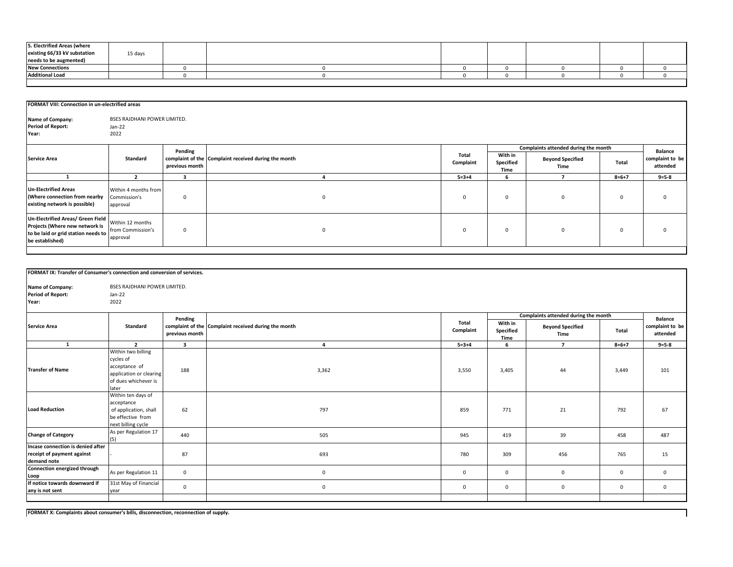| 5. Electrified Areas (where  |         |  |  |  |  |
|------------------------------|---------|--|--|--|--|
| existing 66/33 kV substation | 15 days |  |  |  |  |
| needs to be augmented)       |         |  |  |  |  |
| <b>New Connections</b>       |         |  |  |  |  |
| <b>Additional Load</b>       |         |  |  |  |  |
|                              |         |  |  |  |  |

|                                                                                                                               | FORMAT VIII: Connection in un-electrified areas       |                |                                                      |                    |                              |                                      |             |                             |  |  |
|-------------------------------------------------------------------------------------------------------------------------------|-------------------------------------------------------|----------------|------------------------------------------------------|--------------------|------------------------------|--------------------------------------|-------------|-----------------------------|--|--|
| Name of Company:<br><b>Period of Report:</b><br>Year:                                                                         | <b>BSES RAJDHANI POWER LIMITED.</b><br>Jan-22<br>2022 |                |                                                      |                    |                              |                                      |             |                             |  |  |
|                                                                                                                               |                                                       | Pending        |                                                      |                    |                              | Complaints attended during the month |             | <b>Balance</b>              |  |  |
| <b>Service Area</b>                                                                                                           | Standard                                              | previous month | complaint of the Complaint received during the month | Total<br>Complaint | With in<br>Specified<br>Time | <b>Beyond Specified</b><br>Time      | Total       | complaint to be<br>attended |  |  |
|                                                                                                                               |                                                       |                |                                                      | $5 = 3 + 4$        | ĥ                            |                                      | $8 = 6 + 7$ | $9 = 5 - 8$                 |  |  |
| <b>Un-Electrified Areas</b><br>(Where connection from nearby<br>existing network is possible)                                 | Within 4 months from<br>Commission's<br>approval      | $\Omega$       | $\mathbf{0}$                                         | $\Omega$           | $\mathbf{0}$                 | $\mathbf 0$                          | $\Omega$    | 0                           |  |  |
| Un-Electrified Areas/ Green Field<br>Projects (Where new network is<br>to be laid or grid station needs to<br>be established) | Within 12 months<br>from Commission's<br>approval     | $\mathbf 0$    | $\mathbf{0}$                                         | $\Omega$           | $\mathbf{0}$                 | $^{\circ}$                           | $\Omega$    | 0                           |  |  |

| FORMAT IX: Transfer of Consumer's connection and conversion of services.       |                                                                                                                                                  |                           |                                                      |                    |                              |                                      |              |                             |  |
|--------------------------------------------------------------------------------|--------------------------------------------------------------------------------------------------------------------------------------------------|---------------------------|------------------------------------------------------|--------------------|------------------------------|--------------------------------------|--------------|-----------------------------|--|
| Name of Company:<br><b>Period of Report:</b><br>Year:                          | <b>BSES RAJDHANI POWER LIMITED.</b><br>Jan-22<br>2022                                                                                            |                           |                                                      |                    |                              |                                      |              |                             |  |
|                                                                                |                                                                                                                                                  |                           |                                                      |                    |                              | Complaints attended during the month |              | <b>Balance</b>              |  |
| <b>Service Area</b>                                                            | Standard                                                                                                                                         | Pending<br>previous month | complaint of the Complaint received during the month | Total<br>Complaint | With in<br>Specified<br>Time | <b>Beyond Specified</b><br>Time      | Total        | complaint to be<br>attended |  |
| 1                                                                              | $\overline{2}$                                                                                                                                   | $\overline{\mathbf{3}}$   | 4                                                    | $5 = 3 + 4$        | 6                            | $\overline{7}$                       | $8 = 6 + 7$  | $9 = 5 - 8$                 |  |
| <b>Transfer of Name</b>                                                        | Within two billing<br>cycles of<br>acceptance of<br>application or clearing<br>of dues whichever is<br>later<br>Within ten days of<br>acceptance | 188                       | 3,362                                                | 3,550              | 3,405                        | 44                                   | 3,449        | 101                         |  |
| <b>Load Reduction</b>                                                          | of application, shall<br>be effective from<br>next billing cycle                                                                                 | 62                        | 797                                                  | 859                | 771                          | 21                                   | 792          | 67                          |  |
| <b>Change of Category</b>                                                      | As per Regulation 17<br>(5)                                                                                                                      | 440                       | 505                                                  | 945                | 419                          | 39                                   | 458          | 487                         |  |
| Incase connection is denied after<br>receipt of payment against<br>demand note |                                                                                                                                                  | 87                        | 693                                                  | 780                | 309                          | 456                                  | 765          | 15                          |  |
| Connection energized through<br>Loop                                           | As per Regulation 11                                                                                                                             | $\mathbf{0}$              | $\mathbf{0}$                                         | $\mathbf{0}$       | $\mathbf{0}$                 | $\mathbf{0}$                         | $\mathbf{0}$ | $\mathbf{0}$                |  |
| If notice towards downward if<br>any is not sent                               | 31st May of Financial<br>year                                                                                                                    | $\mathbf 0$               | $\mathbf 0$                                          | $\mathbf{0}$       | $\mathbf 0$                  | $\mathbf{0}$                         | $\mathbf{0}$ | $\mathbf 0$                 |  |
|                                                                                |                                                                                                                                                  |                           |                                                      |                    |                              |                                      |              |                             |  |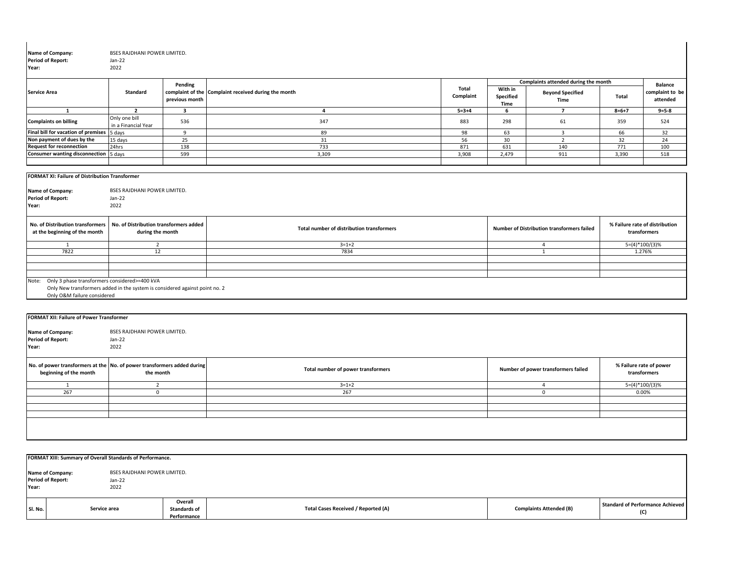| Name of Company:<br><b>Period of Report:</b><br>Year:                                                                                                                | BSES RAJDHANI POWER LIMITED.<br>$Jan-22$<br>2022           |                         |                                                                      |                   |                                                   |             |                                                |
|----------------------------------------------------------------------------------------------------------------------------------------------------------------------|------------------------------------------------------------|-------------------------|----------------------------------------------------------------------|-------------------|---------------------------------------------------|-------------|------------------------------------------------|
|                                                                                                                                                                      | <b>Standard</b>                                            | Pending                 | <b>Total</b><br>complaint of the Complaint received during the month | With in           | Complaints attended during the month              |             | <b>Balance</b><br>complaint to be              |
| <b>Service Area</b>                                                                                                                                                  |                                                            | previous month          | Complaint                                                            | Specified<br>Time | <b>Beyond Specified</b><br>Time                   | Total       | attended                                       |
| 1                                                                                                                                                                    | $\overline{2}$                                             | $\overline{\mathbf{3}}$ | $\overline{a}$<br>$5 = 3 + 4$                                        | 6                 | $\overline{7}$                                    | $8 = 6 + 7$ | $9 = 5 - 8$                                    |
| <b>Complaints on billing</b>                                                                                                                                         | Only one bill<br>in a Financial Year                       | 536                     | 347<br>883                                                           | 298               | 61                                                | 359         | 524                                            |
| Final bill for vacation of premises 5 days                                                                                                                           |                                                            | 9                       | 89<br>98                                                             | 63                | $\overline{3}$                                    | 66          | 32                                             |
| Non payment of dues by the                                                                                                                                           | 15 days                                                    | 25                      | 56<br>31                                                             | 30                | $\overline{2}$                                    | 32          | 24                                             |
| <b>Request for reconnection</b>                                                                                                                                      | 24hrs                                                      | 138                     | 733<br>871                                                           | 631               | 140                                               | 771         | 100                                            |
| <b>Consumer wanting disconnection</b> 5 days                                                                                                                         |                                                            | 599                     | 3,309<br>3,908                                                       | 2,479             | 911                                               | 3,390       | 518                                            |
| <b>FORMAT XI: Failure of Distribution Transformer</b><br>Name of Company:<br><b>Period of Report:</b><br>Year:                                                       | BSES RAJDHANI POWER LIMITED.<br>Jan-22<br>2022             |                         |                                                                      |                   |                                                   |             |                                                |
| No. of Distribution transformers<br>at the beginning of the month                                                                                                    | No. of Distribution transformers added<br>during the month |                         | Total number of distribution transformers                            |                   | <b>Number of Distribution transformers failed</b> |             | % Failure rate of distribution<br>transformers |
| 1                                                                                                                                                                    | 2                                                          |                         | $3=1+2$                                                              |                   | $\overline{4}$                                    |             | $5=(4)*100/(3)%$                               |
| 7822                                                                                                                                                                 | 12                                                         |                         | 7834                                                                 |                   | $\overline{1}$                                    |             | 1.276%                                         |
|                                                                                                                                                                      |                                                            |                         |                                                                      |                   |                                                   |             |                                                |
|                                                                                                                                                                      |                                                            |                         |                                                                      |                   |                                                   |             |                                                |
|                                                                                                                                                                      |                                                            |                         |                                                                      |                   |                                                   |             |                                                |
| Only 3 phase transformers considered>=400 kVA<br>Note:<br>Only New transformers added in the system is considered against point no. 2<br>Only O&M failure considered |                                                            |                         |                                                                      |                   |                                                   |             |                                                |
|                                                                                                                                                                      |                                                            |                         |                                                                      |                   |                                                   |             |                                                |
| <b>FORMAT XII: Failure of Power Transformer</b>                                                                                                                      |                                                            |                         |                                                                      |                   |                                                   |             |                                                |
| Name of Company:<br><b>Period of Report:</b><br>Year:                                                                                                                | BSES RAJDHANI POWER LIMITED.<br>Jan-22<br>2022             |                         |                                                                      |                   |                                                   |             |                                                |
|                                                                                                                                                                      |                                                            |                         |                                                                      |                   |                                                   |             |                                                |
| No. of power transformers at the No. of power transformers added during<br>beginning of the month                                                                    | the month                                                  |                         | Total number of power transformers                                   |                   | Number of power transformers failed               |             | % Failure rate of power<br>transformers        |
| <sup>1</sup>                                                                                                                                                         | $\overline{2}$                                             |                         | $3 = 1 + 2$                                                          |                   | $\overline{4}$                                    |             | $5=(4)*100/(3)%$                               |

|         | FORMAT XIII: Summary of Overall Standards of Performance. |                                                       |                                               |                                     |                                |                                         |  |  |  |  |  |  |
|---------|-----------------------------------------------------------|-------------------------------------------------------|-----------------------------------------------|-------------------------------------|--------------------------------|-----------------------------------------|--|--|--|--|--|--|
| Year:   | Name of Company:<br><b>Period of Report:</b>              | <b>BSES RAJDHANI POWER LIMITED.</b><br>Jan-22<br>2022 |                                               |                                     |                                |                                         |  |  |  |  |  |  |
| SI. No. |                                                           | Service area                                          | Overall<br><b>Standards of</b><br>Performance | Total Cases Received / Reported (A) | <b>Complaints Attended (B)</b> | Standard of Performance Achieved<br>(C) |  |  |  |  |  |  |

267 0 267 0 0.00%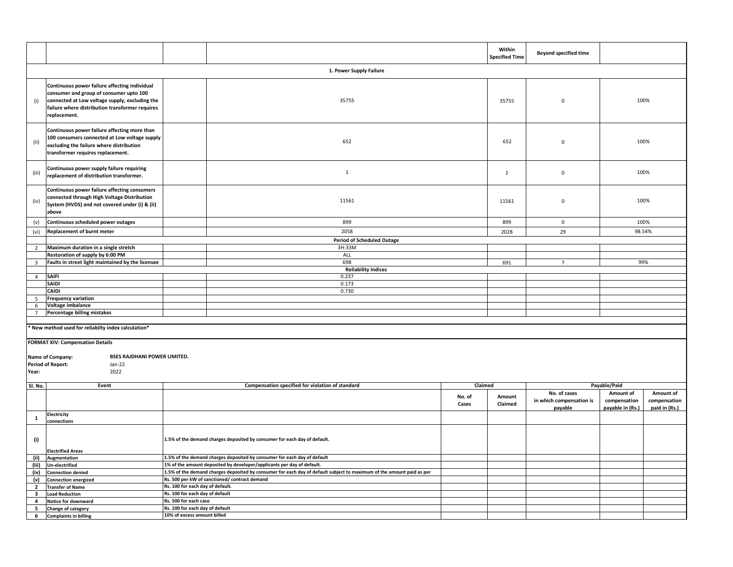|                                           |                                                                                                                                                                                                               |                                                                     |                                                                                                                       |                 | Within<br><b>Specified Time</b> | <b>Beyond specified time</b>        |                                  |                               |
|-------------------------------------------|---------------------------------------------------------------------------------------------------------------------------------------------------------------------------------------------------------------|---------------------------------------------------------------------|-----------------------------------------------------------------------------------------------------------------------|-----------------|---------------------------------|-------------------------------------|----------------------------------|-------------------------------|
|                                           |                                                                                                                                                                                                               |                                                                     | 1. Power Supply Failure                                                                                               |                 |                                 |                                     |                                  |                               |
| (i)                                       | Continuous power failure affecting individual<br>consumer and group of consumer upto 100<br>connected at Low voltage supply, excluding the<br>failure where distribution transformer requires<br>replacement. |                                                                     | 35755                                                                                                                 |                 | 35755                           | $\mathbf 0$                         |                                  | 100%                          |
| (ii)                                      | Continuous power failure affecting more than<br>100 consumers connected at Low voltage supply<br>excluding the failure where distribution<br>transformer requires replacement.                                |                                                                     | 652                                                                                                                   |                 | 652                             | $\mathbf 0$                         |                                  | 100%                          |
| (iii)                                     | Continuous power supply failure requiring<br>replacement of distribution transformer.                                                                                                                         |                                                                     | $\mathbf{1}$                                                                                                          |                 | $\mathbf{1}$                    | $\mathbf 0$                         |                                  | 100%                          |
| (iv)                                      | Continuous power failure affecting consumers<br>connected through High Voltage Distribution<br>System (HVDS) and not covered under (i) & (ii)<br>above                                                        |                                                                     | 11561                                                                                                                 |                 | 11561                           | $\mathbf 0$                         |                                  | 100%                          |
| (v)                                       | Continuous scheduled power outages                                                                                                                                                                            |                                                                     | 899                                                                                                                   |                 | 899                             | $\mathbf 0$                         |                                  | 100%                          |
| (vi)                                      | Replacement of burnt meter                                                                                                                                                                                    |                                                                     | 2058                                                                                                                  |                 | 2028                            | 29                                  |                                  | 98.54%                        |
|                                           |                                                                                                                                                                                                               |                                                                     | <b>Period of Scheduled Outage</b>                                                                                     |                 |                                 |                                     |                                  |                               |
| $\overline{2}$                            | Maximum duration in a single stretch                                                                                                                                                                          |                                                                     | 3H:33M                                                                                                                |                 |                                 |                                     |                                  |                               |
|                                           | Restoration of supply by 6:00 PM                                                                                                                                                                              |                                                                     | ALL<br>698                                                                                                            |                 |                                 |                                     |                                  | 99%                           |
| 3                                         | Faults in street light maintained by the licensee                                                                                                                                                             |                                                                     | <b>Reliability Indices</b>                                                                                            |                 | 691                             | $7\overline{ }$                     |                                  |                               |
| $\overline{4}$                            | <b>SAIFI</b>                                                                                                                                                                                                  |                                                                     | 0.237                                                                                                                 |                 |                                 |                                     |                                  |                               |
|                                           | SAIDI                                                                                                                                                                                                         |                                                                     | 0.173                                                                                                                 |                 |                                 |                                     |                                  |                               |
|                                           | CAIDI                                                                                                                                                                                                         |                                                                     | 0.730                                                                                                                 |                 |                                 |                                     |                                  |                               |
| 5                                         | <b>Frequency variation</b>                                                                                                                                                                                    |                                                                     |                                                                                                                       |                 |                                 |                                     |                                  |                               |
| 6                                         | Voltage imbalance                                                                                                                                                                                             |                                                                     |                                                                                                                       |                 |                                 |                                     |                                  |                               |
| $\overline{7}$                            | Percentage billing mistakes                                                                                                                                                                                   |                                                                     |                                                                                                                       |                 |                                 |                                     |                                  |                               |
|                                           | * New method used for reliabilty index calculation*                                                                                                                                                           |                                                                     |                                                                                                                       |                 |                                 |                                     |                                  |                               |
| Year:                                     | <b>FORMAT XIV: Compensation Details</b><br>BSES RAJDHANI POWER LIMITED.<br>Name of Company:<br><b>Period of Report:</b><br>Jan-22<br>2022                                                                     |                                                                     |                                                                                                                       |                 |                                 |                                     |                                  |                               |
| Sl. No.                                   | Event                                                                                                                                                                                                         |                                                                     | Compensation specified for violation of standard                                                                      | Claimed         |                                 | No. of cases                        | Payable/Paid<br>Amount of        | Amount of                     |
|                                           |                                                                                                                                                                                                               |                                                                     |                                                                                                                       | No. of<br>Cases | Amount<br>Claimed               | in which compensation is<br>payable | compensation<br>payable in (Rs.) | compensation<br>paid in (Rs.) |
| $\mathbf{1}$                              | Electricity<br>connections                                                                                                                                                                                    |                                                                     |                                                                                                                       |                 |                                 |                                     |                                  |                               |
| (i)                                       | <b>Electrified Areas</b>                                                                                                                                                                                      |                                                                     | 1.5% of the demand charges deposited by consumer for each day of default.                                             |                 |                                 |                                     |                                  |                               |
| (ii)                                      | Augmentation                                                                                                                                                                                                  |                                                                     | 1.5% of the demand charges deposited by consumer for each day of default                                              |                 |                                 |                                     |                                  |                               |
| (iii)                                     | <b>Un-electrified</b>                                                                                                                                                                                         |                                                                     | 1% of the amount deposited by developer/applicants per day of default.                                                |                 |                                 |                                     |                                  |                               |
| (iv)                                      | <b>Connection denied</b>                                                                                                                                                                                      |                                                                     | 1.5% of the demand charges deposited by consumer for each day of default subject to maximum of the amount paid as per |                 |                                 |                                     |                                  |                               |
| (v)                                       | <b>Connection energized</b>                                                                                                                                                                                   |                                                                     | Rs. 500 per kW of sanctioned/ contract demand                                                                         |                 |                                 |                                     |                                  |                               |
| $\overline{2}$                            | <b>Transfer of Name</b>                                                                                                                                                                                       | Rs. 100 for each day of default.<br>Rs. 100 for each day of default |                                                                                                                       |                 |                                 |                                     |                                  |                               |
| $\overline{\mathbf{3}}$<br>$\overline{4}$ | <b>Load Reduction</b><br>Notice for downward                                                                                                                                                                  | Rs. 500 for each case                                               |                                                                                                                       |                 |                                 |                                     |                                  |                               |
| 5                                         | Change of category                                                                                                                                                                                            | Rs. 100 for each day of default                                     |                                                                                                                       |                 |                                 |                                     |                                  |                               |
| 6                                         | <b>Complaints in billing</b>                                                                                                                                                                                  | 10% of excess amount billed                                         |                                                                                                                       |                 |                                 |                                     |                                  |                               |
|                                           |                                                                                                                                                                                                               |                                                                     |                                                                                                                       |                 |                                 |                                     |                                  |                               |